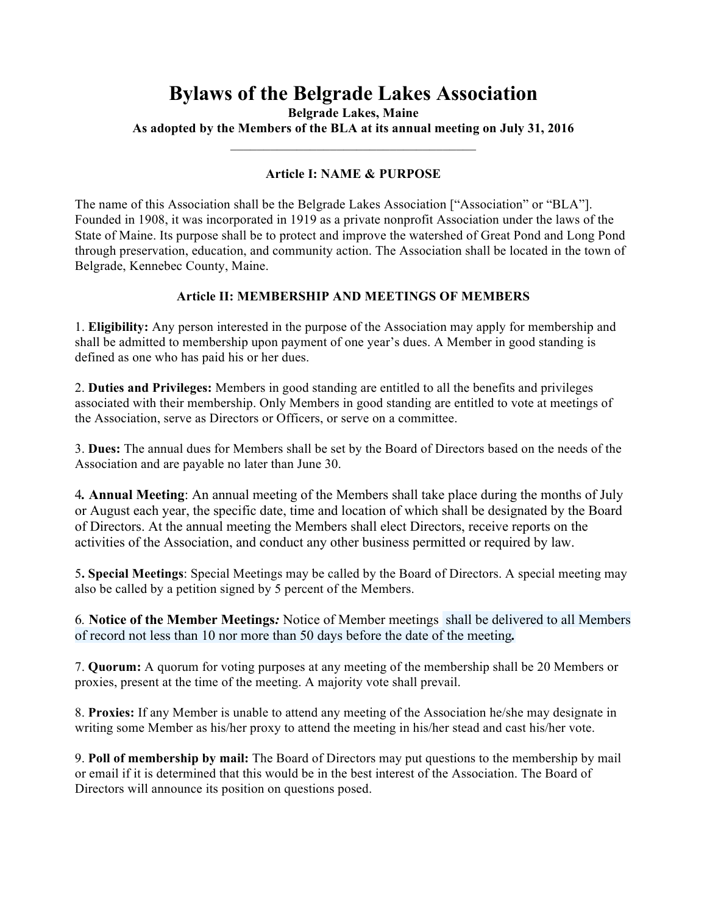# **Bylaws of the Belgrade Lakes Association**

**Belgrade Lakes, Maine**

**As adopted by the Members of the BLA at its annual meeting on July 31, 2016**  $\mathcal{L}_\text{max}$ 

# **Article I: NAME & PURPOSE**

The name of this Association shall be the Belgrade Lakes Association ["Association" or "BLA"]. Founded in 1908, it was incorporated in 1919 as a private nonprofit Association under the laws of the State of Maine. Its purpose shall be to protect and improve the watershed of Great Pond and Long Pond through preservation, education, and community action. The Association shall be located in the town of Belgrade, Kennebec County, Maine.

## **Article II: MEMBERSHIP AND MEETINGS OF MEMBERS**

1. **Eligibility:** Any person interested in the purpose of the Association may apply for membership and shall be admitted to membership upon payment of one year's dues. A Member in good standing is defined as one who has paid his or her dues.

2. **Duties and Privileges:** Members in good standing are entitled to all the benefits and privileges associated with their membership. Only Members in good standing are entitled to vote at meetings of the Association, serve as Directors or Officers, or serve on a committee.

3. **Dues:** The annual dues for Members shall be set by the Board of Directors based on the needs of the Association and are payable no later than June 30.

4*.* **Annual Meeting**: An annual meeting of the Members shall take place during the months of July or August each year, the specific date, time and location of which shall be designated by the Board of Directors. At the annual meeting the Members shall elect Directors, receive reports on the activities of the Association, and conduct any other business permitted or required by law.

5**. Special Meetings**: Special Meetings may be called by the Board of Directors. A special meeting may also be called by a petition signed by 5 percent of the Members.

6*.* **Notice of the Member Meetings***:* Notice of Member meetings shall be delivered to all Members of record not less than 10 nor more than 50 days before the date of the meeting*.*

7. **Quorum:** A quorum for voting purposes at any meeting of the membership shall be 20 Members or proxies, present at the time of the meeting. A majority vote shall prevail.

8. **Proxies:** If any Member is unable to attend any meeting of the Association he/she may designate in writing some Member as his/her proxy to attend the meeting in his/her stead and cast his/her vote.

9. **Poll of membership by mail:** The Board of Directors may put questions to the membership by mail or email if it is determined that this would be in the best interest of the Association. The Board of Directors will announce its position on questions posed.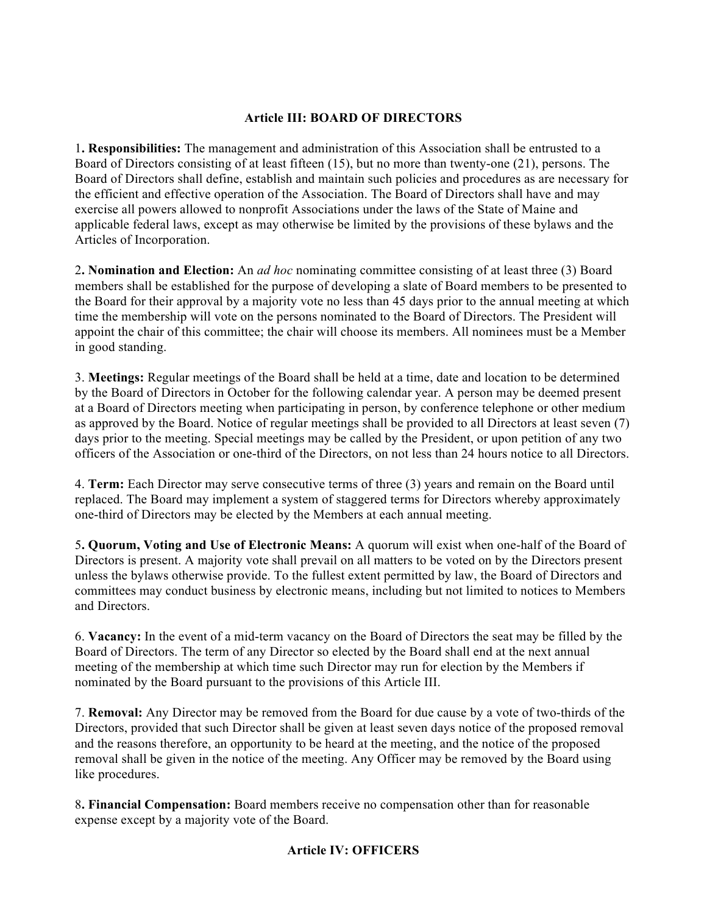### **Article III: BOARD OF DIRECTORS**

1**. Responsibilities:** The management and administration of this Association shall be entrusted to a Board of Directors consisting of at least fifteen (15), but no more than twenty-one (21), persons. The Board of Directors shall define, establish and maintain such policies and procedures as are necessary for the efficient and effective operation of the Association. The Board of Directors shall have and may exercise all powers allowed to nonprofit Associations under the laws of the State of Maine and applicable federal laws, except as may otherwise be limited by the provisions of these bylaws and the Articles of Incorporation.

2**. Nomination and Election:** An *ad hoc* nominating committee consisting of at least three (3) Board members shall be established for the purpose of developing a slate of Board members to be presented to the Board for their approval by a majority vote no less than 45 days prior to the annual meeting at which time the membership will vote on the persons nominated to the Board of Directors. The President will appoint the chair of this committee; the chair will choose its members. All nominees must be a Member in good standing.

3. **Meetings:** Regular meetings of the Board shall be held at a time, date and location to be determined by the Board of Directors in October for the following calendar year. A person may be deemed present at a Board of Directors meeting when participating in person, by conference telephone or other medium as approved by the Board. Notice of regular meetings shall be provided to all Directors at least seven (7) days prior to the meeting. Special meetings may be called by the President, or upon petition of any two officers of the Association or one-third of the Directors, on not less than 24 hours notice to all Directors.

4. **Term:** Each Director may serve consecutive terms of three (3) years and remain on the Board until replaced. The Board may implement a system of staggered terms for Directors whereby approximately one-third of Directors may be elected by the Members at each annual meeting.

5**. Quorum, Voting and Use of Electronic Means:** A quorum will exist when one-half of the Board of Directors is present. A majority vote shall prevail on all matters to be voted on by the Directors present unless the bylaws otherwise provide. To the fullest extent permitted by law, the Board of Directors and committees may conduct business by electronic means, including but not limited to notices to Members and Directors.

6. **Vacancy:** In the event of a mid-term vacancy on the Board of Directors the seat may be filled by the Board of Directors. The term of any Director so elected by the Board shall end at the next annual meeting of the membership at which time such Director may run for election by the Members if nominated by the Board pursuant to the provisions of this Article III.

7. **Removal:** Any Director may be removed from the Board for due cause by a vote of two-thirds of the Directors, provided that such Director shall be given at least seven days notice of the proposed removal and the reasons therefore, an opportunity to be heard at the meeting, and the notice of the proposed removal shall be given in the notice of the meeting. Any Officer may be removed by the Board using like procedures.

8**. Financial Compensation:** Board members receive no compensation other than for reasonable expense except by a majority vote of the Board.

# **Article IV: OFFICERS**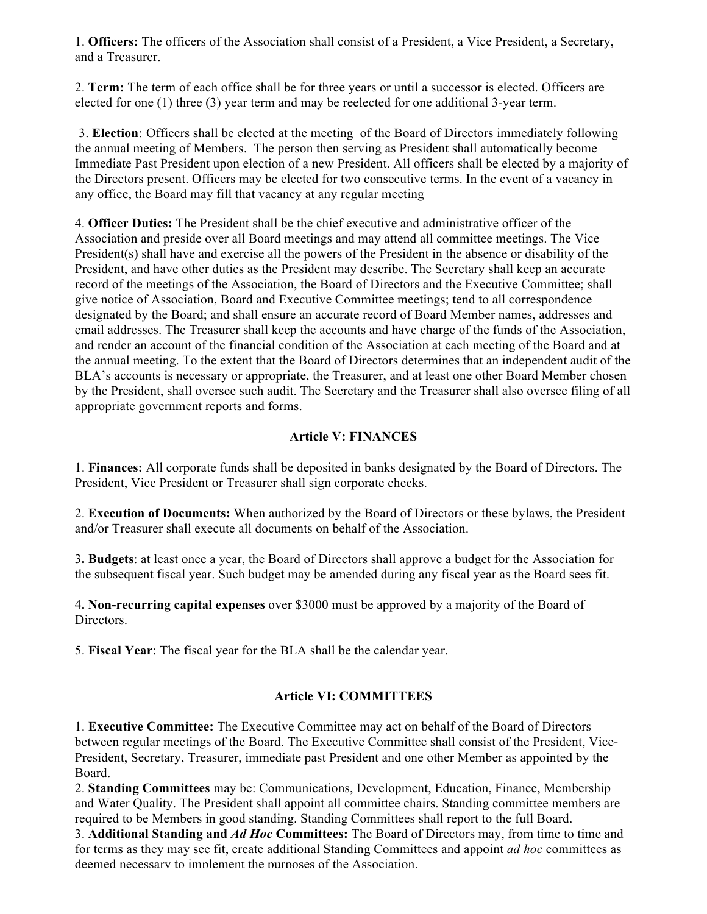1. **Officers:** The officers of the Association shall consist of a President, a Vice President, a Secretary, and a Treasurer.

2. **Term:** The term of each office shall be for three years or until a successor is elected. Officers are elected for one (1) three (3) year term and may be reelected for one additional 3-year term.

3. **Election**: Officers shall be elected at the meeting of the Board of Directors immediately following the annual meeting of Members. The person then serving as President shall automatically become Immediate Past President upon election of a new President. All officers shall be elected by a majority of the Directors present. Officers may be elected for two consecutive terms. In the event of a vacancy in any office, the Board may fill that vacancy at any regular meeting

4. **Officer Duties:** The President shall be the chief executive and administrative officer of the Association and preside over all Board meetings and may attend all committee meetings. The Vice President(s) shall have and exercise all the powers of the President in the absence or disability of the President, and have other duties as the President may describe. The Secretary shall keep an accurate record of the meetings of the Association, the Board of Directors and the Executive Committee; shall give notice of Association, Board and Executive Committee meetings; tend to all correspondence designated by the Board; and shall ensure an accurate record of Board Member names, addresses and email addresses. The Treasurer shall keep the accounts and have charge of the funds of the Association, and render an account of the financial condition of the Association at each meeting of the Board and at the annual meeting. To the extent that the Board of Directors determines that an independent audit of the BLA's accounts is necessary or appropriate, the Treasurer, and at least one other Board Member chosen by the President, shall oversee such audit. The Secretary and the Treasurer shall also oversee filing of all appropriate government reports and forms.

# **Article V: FINANCES**

1. **Finances:** All corporate funds shall be deposited in banks designated by the Board of Directors. The President, Vice President or Treasurer shall sign corporate checks.

2. **Execution of Documents:** When authorized by the Board of Directors or these bylaws, the President and/or Treasurer shall execute all documents on behalf of the Association.

3**. Budgets**: at least once a year, the Board of Directors shall approve a budget for the Association for the subsequent fiscal year. Such budget may be amended during any fiscal year as the Board sees fit.

4**. Non-recurring capital expenses** over \$3000 must be approved by a majority of the Board of Directors.

5. **Fiscal Year**: The fiscal year for the BLA shall be the calendar year.

#### **Article VI: COMMITTEES**

1. **Executive Committee:** The Executive Committee may act on behalf of the Board of Directors between regular meetings of the Board. The Executive Committee shall consist of the President, Vice-President, Secretary, Treasurer, immediate past President and one other Member as appointed by the Board.

2. **Standing Committees** may be: Communications, Development, Education, Finance, Membership and Water Quality. The President shall appoint all committee chairs. Standing committee members are required to be Members in good standing. Standing Committees shall report to the full Board.

3. **Additional Standing and** *Ad Hoc* **Committees:** The Board of Directors may, from time to time and for terms as they may see fit, create additional Standing Committees and appoint *ad hoc* committees as deemed necessary to implement the nurposes of the Association.